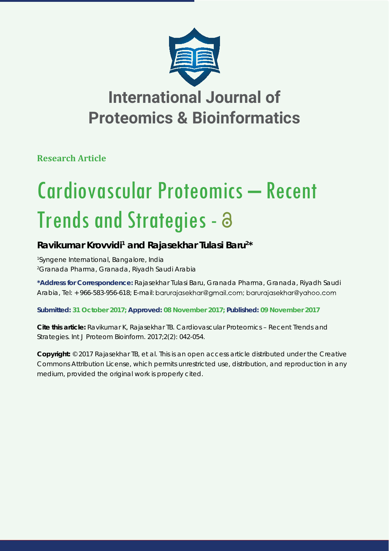

**Research Article**

# Cardiovascular Proteomics – Recent Trends and Strategies -

### Ravikumar Krovvidi<sup>1</sup> and Rajasekhar Tulasi Baru<sup>2\*</sup>

*1 Syngene International, Bangalore, India 2 Granada Pharma, Granada, Riyadh Saudi Arabia*

**\*Address for Correspondence:** Rajasekhar Tulasi Baru, Granada Pharma, Granada, Riyadh Saudi Arabia, Tel: + 966-583-956-618; E-mail: barurajasekhar@gmail.com; barurajasekhar@yahoo.com

**Submitted: 31 October 2017; Approved: 08 November 2017; Published: 09 November 2017**

**Cite this article:** Ravikumar K, Rajasekhar TB. Cardiovascular Proteomics – Recent Trends and Strategies. Int J Proteom Bioinform. 2017;2(2): 042-054.

**Copyright:** © 2017 Rajasekhar TB, et al. This is an open access article distributed under the Creative Commons Attribution License, which permits unrestricted use, distribution, and reproduction in any medium, provided the original work is properly cited.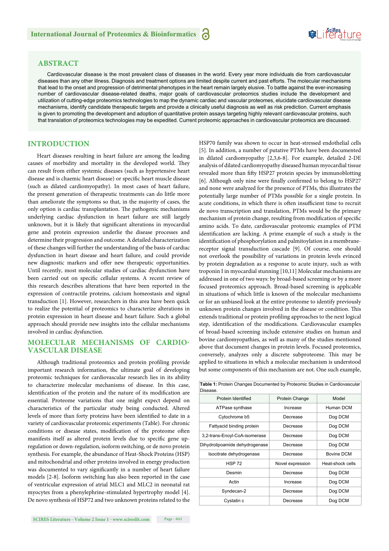#### **ABSTRACT**

Cardiovascular disease is the most prevalent class of diseases in the world. Every year more individuals die from cardiovascular diseases than any other illness. Diagnosis and treatment options are limited despite current and past efforts. The molecular mechanisms that lead to the onset and progression of detrimental phenotypes in the heart remain largely elusive. To battle against the ever-increasing number of cardiovascular disease-related deaths, major goals of cardiovascular proteomics studies include the development and utilization of cutting-edge proteomics technologies to map the dynamic cardiac and vascular proteomes, elucidate cardiovascular disease mechanisms, identify candidate therapeutic targets and provide a clinically useful diagnosis as well as risk prediction. Current emphasis is given to promoting the development and adoption of quantitative protein assays targeting highly relevant cardiovascular proteins, such that translation of proteomics technologies may be expedited. Current proteomic approaches in cardiovascular proteomics are discussed.

#### **INTRODUCTION**

Heart diseases resulting in heart failure are among the leading causes of morbidity and mortality in the developed world. They can result from either systemic diseases (such as hypertensive heart disease and is chaemic heart disease) or specific heart muscle disease (such as dilated cardiomyopathy). In most cases of heart failure, the present generation of therapeutic treatments can do little more than ameliorate the symptoms so that, in the majority of cases, the only option is cardiac transplantation. The pathogenic mechanisms underlying cardiac dysfunction in heart failure are still largely unknown, but it is likely that significant alterations in myocardial gene and protein expression underlie the disease processes and determine their progression and outcome. A detailed characterization of these changes will further the understanding of the basis of cardiac dysfunction in heart disease and heart failure, and could provide new diagnostic markers and offer new therapeutic opportunities. Until recently, most molecular studies of cardiac dysfunction have been carried out on specific cellular systems. A recent review of this research describes alterations that have been reported in the expression of contractile proteins, calcium homeostasis and signal transduction [1]. However, researchers in this area have been quick to realize the potential of proteomics to characterize alterations in protein expression in heart disease and heart failure. Such a global approach should provide new insights into the cellular mechanisms involved in cardiac dysfunction.

#### **MOLECULAR MECHANISMS OF CARDIO-VASCULAR DISEASE**

Although traditional proteomics and protein profiling provide important research information, the ultimate goal of developing proteomic techniques for cardiovascular research lies in its ability to characterize molecular mechanisms of disease. In this case, identification of the protein and the nature of its modification are essential. Proteome variations that one might expect depend on characteristics of the particular study being conducted. Altered levels of more than forty proteins have been identified to date in a variety of cardiovascular proteomic experiments (Table). For chronic conditions or disease states, modification of the proteome often manifests itself as altered protein levels due to specific gene upregulation or down-regulation, isoform switching, or de novo protein synthesis. For example, the abundance of Heat-Shock Proteins (HSP) and mitochondrial and other proteins involved in energy production was documented to vary significantly in a number of heart failure models [2-8]. Isoform switching has also been reported in the case of ventricular expression of atrial MLC1 and MLC2 in neonatal rat myocytes from a phenylephrine-stimulated hypertrophy model [4]. De novo synthesis of HSP72 and two unknown proteins related to the

HSP70 family was shown to occur in heat-stressed endothelial cells [5]. In addition, a number of putative PTMs have been documented in dilated cardiomyopathy [2,3,6-8]. For example, detailed 2-DE analysis of dilated cardiomyopathy diseased human myocardial tissue revealed more than fifty HSP27 protein species by immunoblotting [6]. Although only nine were finally confirmed to belong to HSP27 and none were analyzed for the presence of PTMs, this illustrates the potentially large number of PTMs possible for a single protein. In acute conditions, in which there is often insufficient time to recruit de novo transcription and translation, PTMs would be the primary mechanism of protein change, resulting from modification of specific amino acids. To date, cardiovascular proteomic examples of PTM identification are lacking. A prime example of such a study is the identification of phosphorylation and palmitoylation in a membranereceptor signal transduction cascade [9]. Of course, one should not overlook the possibility of variations in protein levels evinced by protein degradation as a response to acute injury, such as with troponin I in myocardial stunning [10,11] Molecular mechanisms are addressed in one of two ways: by broad-based screening or by a more focused proteomics approach. Broad-based screening is applicable in situations of which little is known of the molecular mechanisms or for an unbiased look at the entire proteome to identify previously unknown protein changes involved in the disease or condition. This extends traditional or protein profiling approaches to the next logical step, identification of the modifications. Cardiovascular examples of broad-based screening include extensive studies on human and bovine cardiomyopathies, as well as many of the studies mentioned above that document changes in protein levels. Focused proteomics, conversely, analyzes only a discrete subproteome. This may be applied to situations in which a molecular mechanism is understood but some components of this mechanism are not. One such example,

Suiferature

| <b>Table 1:</b> Protein Changes Documented by Proteomic Studies in Cardiovascular<br>Disease. |                  |                  |
|-----------------------------------------------------------------------------------------------|------------------|------------------|
| Protein Identified                                                                            | Protein Change   | Model            |
| ATPase synthase                                                                               | Increase         | Human DCM        |
| Cytochrome b5                                                                                 | Decrease         | Dog DCM          |
| Fattyacid binding protein                                                                     | Decrease         | Dog DCM          |
| 3,2-trans-Enoyl-CoA-isomerase                                                                 | Decrease         | Dog DCM          |
| Dihydrolipoamide dehydrogenase                                                                | Decrease         | Dog DCM          |
| Isocitrate dehydrogenase                                                                      | Decrease         | Bovine DCM       |
| <b>HSP 72</b>                                                                                 | Novel expression | Heat-shock cells |
| Desmin                                                                                        | Decrease         | Dog DCM          |
| Actin                                                                                         | Increase         | Dog DCM          |
| Syndecan-2                                                                                    | Decrease         | Dog DCM          |
| Cystatin c                                                                                    | Decrease         | Dog DCM          |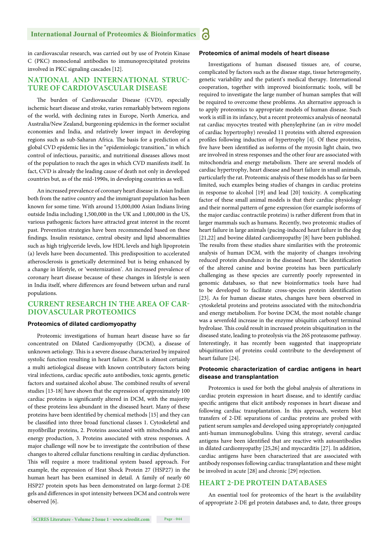in cardiovascular research, was carried out by use of Protein Kinase C (PKC) monoclonal antibodies to immunoprecipitated proteins involved in PKC signaling cascades [12].

#### **NATIONAL AND INTERNATIONAL STRUC-TURE OF CARDIOVASCULAR DISEASE**

The burden of Cardiovascular Disease (CVD), especially ischemic heart disease and stroke, varies remarkably between regions of the world, with declining rates in Europe, North America, and Australia/New Zealand, burgeoning epidemics in the former socialist economies and India, and relatively lower impact in developing regions such as sub-Saharan Africa. The basis for a prediction of a global CVD epidemic lies in the "epidemiologic transition," in which control of infectious, parasitic, and nutritional diseases allows most of the population to reach the ages in which CVD manifests itself. In fact, CVD is already the leading cause of death not only in developed countries but, as of the mid-1990s, in developing countries as well.

An increased prevalence of coronary heart disease in Asian Indian both from the native country and the immigrant population has been known for some time. With around 15,000,000 Asian Indians living outside India including 1,500,000 in the UK and 1,000,000 in the US, various pathogenic factors have attracted great interest in the recent past. Prevention strategies have been recommended based on these findings. Insulin resistance, central obesity and lipid abnormalities such as high triglyceride levels, low HDL levels and high lipoprotein (a) levels have been documented. This predisposition to accelerated atherosclerosis is genetically determined but is being enhanced by a change in lifestyle, or 'westernization'. An increased prevalence of coronary heart disease because of these changes in lifestyle is seen in India itself, where differences are found between urban and rural populations.

#### **CURRENT RESEARCH IN THE AREA OF CAR-DIOVASCULAR PROTEOMICS**

#### **Proteomics of dilated cardiomyopathy**

Proteomic investigations of human heart disease have so far concentrated on Dilated Cardiomyopathy (DCM), a disease of unknown aetiology. This is a severe disease characterized by impaired systolic function resulting in heart failure. DCM is almost certainly a multi aetiological disease with known contributory factors being viral infections, cardiac specific auto antibodies, toxic agents, genetic factors and sustained alcohol abuse. The combined results of several studies [13-18] have shown that the expression of approximately 100 cardiac proteins is significantly altered in DCM, with the majority of these proteins less abundant in the diseased heart. Many of these proteins have been identified by chemical methods [15] and they can be classified into three broad functional classes 1. Cytoskeletal and myofibrillar proteins, 2. Proteins associated with mitochondria and energy production, 3. Proteins associated with stress responses. A major challenge will now be to investigate the contribution of these changes to altered cellular functions resulting in cardiac dysfunction. This will require a more traditional system based approach. For example, the expression of Heat Shock Protein 27 (HSP27) in the human heart has been examined in detail. A family of nearly 60 HSP27 protein spots has been demonstrated on large-format 2-DE gels and differences in spot intensity between DCM and controls were observed [6].

#### **Proteomics of animal models of heart disease**

Investigations of human diseased tissues are, of course, complicated by factors such as the disease stage, tissue heterogeneity, genetic variability and the patient's medical therapy. International cooperation, together with improved bioinformatic tools, will be required to investigate the large number of human samples that will be required to overcome these problems. An alternative approach is to apply proteomics to appropriate models of human disease. Such work is still in its infancy, but a recent proteomics analysis of neonatal rat cardiac myocytes treated with phenylephrine (an *in vitro* model of cardiac hypertrophy) revealed 11 proteins with altered expression profiles following induction of hypertrophy [4]. Of these proteins, five have been identified as isoforms of the myosin light chain, two are involved in stress responses and the other four are associated with mitochondria and energy metabolism. There are several models of cardiac hypertrophy, heart disease and heart failure in small animals, particularly the rat. Proteomic analysis of these models has so far been limited, such examples being studies of changes in cardiac proteins in response to alcohol [19] and lead [20] toxicity. A complicating factor of these small animal models is that their cardiac physiology and their normal pattern of gene expression (for example isoforms of the major cardiac contractile proteins) is rather different from that in larger mammals such as humans. Recently, two proteomic studies of heart failure in large animals (pacing-induced heart failure in the dog [21,22] and bovine dilated cardiomyopathy [8] have been published. The results from these studies share similarities with the proteomic analysis of human DCM, with the majority of changes involving reduced protein abundance in the diseased heart. The identification of the altered canine and bovine proteins has been particularly challenging as these species are currently poorly represented in genomic databases, so that new bioinformatics tools have had to be developed to facilitate cross-species protein identification [23]. As for human disease states, changes have been observed in cytoskeletal proteins and proteins associated with the mitochondria and energy metabolism. For bovine DCM, the most notable change was a sevenfold increase in the enzyme ubiquitin carboxyl terminal hydrolase. This could result in increased protein ubiquitination in the diseased state, leading to proteolysis via the 26S proteasome pathway. Interestingly, it has recently been suggested that inappropriate ubiquitination of proteins could contribute to the development of heart failure [24].

#### **Proteomic characterization of cardiac antigens in heart disease and transplantation**

Proteomics is used for both the global analysis of alterations in cardiac protein expression in heart disease, and to identify cardiac specific antigens that elicit antibody responses in heart disease and following cardiac transplantation. In this approach, western blot transfers of 2-DE separations of cardiac proteins are probed with patient serum samples and developed using appropriately conjugated anti-human immunoglobulins. Using this strategy, several cardiac antigens have been identified that are reactive with autoantibodies in dilated cardiomyopathy [25,26] and myocarditis [27]. In addition, cardiac antigens have been characterized that are associated with antibody responses following cardiac transplantation and these might be involved in acute [28] and chronic [29] rejection.

#### **HEART 2-DE PROTEIN DATABASES**

An essential tool for proteomics of the heart is the availability of appropriate 2-DE gel protein databases and, to date, three groups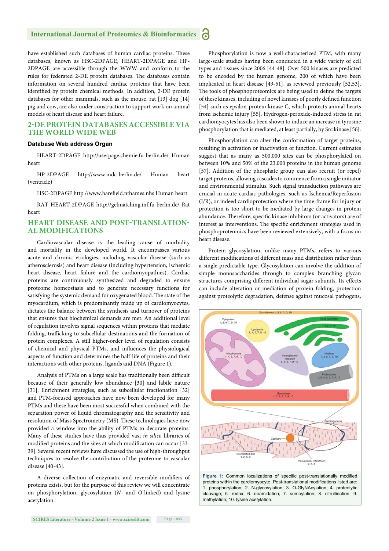have established such databases of human cardiac proteins. These databases, known as HSC-2DPAGE, HEART-2DPAGE and HP-2DPAGE are accessible through the WWW and conform to the rules for federated 2-DE protein databases. The databases contain information on several hundred cardiac proteins that have been identified by protein chemical methods. In addition, 2-DE protein databases for other mammals, such as the mouse, rat [13] dog [14] pig and cow, are also under construction to support work on animal models of heart disease and heart failure.

#### **2-DE PROTEIN DATABASES ACCESSIBLE VIA THE WORLD WIDE WEB**

#### **Database Web address Organ**

HEART-2DPAGE http://userpage.chemie.fu-berlin.de/ Human heart

HP-2DPAGE http://www.mdc-berlin.de/ Human heart (ventricle)

HSC-2DPAGE http://www.harefield.nthames.nhs Human heart

RAT HEART-2DPAGE http://gelmatching.inf.fu-berlin.de/ Rat heart

#### **HEART DISEASE AND POST-TRANSLATION-AL MODIFICATIONS**

Cardiovascular disease is the leading cause of morbidity and mortality in the developed world. It encompasses various acute and chronic etiologies, including vascular disease (such as atherosclerosis) and heart disease (including hypertension, ischemic heart disease, heart failure and the cardiomyopathies). Cardiac proteins are continuously synthesized and degraded to ensure proteome homeostasis and to generate necessary functions for satisfying the systemic demand for oxygenated blood. The state of the myocardium, which is predominantly made up of cardiomyocytes, dictates the balance between the synthesis and turnover of proteins that ensures that biochemical demands are met. An additional level of regulation involves signal sequences within proteins that mediate folding, trafficking to subcellular destinations and the formation of protein complexes. A still higher-order level of regulation consists of chemical and physical PTMs, and influences the physiological aspects of function and determines the half-life of proteins and their interactions with other proteins, ligands and DNA (Figure 1).

Analysis of PTMs on a large scale has traditionally been difficult because of their generally low abundance [30] and labile nature [31]. Enrichment strategies, such as subcellular fractionation [32] and PTM-focused approaches have now been developed for many PTMs and these have been most successful when combined with the separation power of liquid chromatography and the sensitivity and resolution of Mass Spectrometry (MS). These technologies have now provided a window into the ability of PTMs to decorate proteins. Many of these studies have thus provided vast *in silico*  libraries of modified proteins and the sites at which modification can occur [33-39]. Several recent reviews have discussed the use of high-throughput techniques to resolve the contribution of the proteome to vascular disease [40-43].

A diverse collection of enzymatic and reversible modifiers of proteins exists, but for the purpose of this review we will concentrate on phosphorylation, glycosylation (*N*- and *O*-linked) and lysine acetylation.

Phosphorylation is now a well-characterized PTM, with many large-scale studies having been conducted in a wide variety of cell types and tissues since 2006 [44-48]. Over 500 kinases are predicted to be encoded by the human genome, 200 of which have been implicated in heart disease [49-51], as reviewed previously [52,53]. The tools of phosphoproteomics are being used to define the targets of these kinases, including of novel kinases of poorly defined function [54] such as epsilon-protein kinase C, which protects animal hearts from ischemic injury [55]. Hydrogen-peroxide-induced stress in rat cardiomyocytes has also been shown to induce an increase in tyrosine phosphorylation that is mediated, at least partially, by Src kinase [56].

Phosphorylation can alter the conformation of target proteins, resulting in activation or inactivation of function. Current estimates suggest that as many as 500,000 sites can be phosphorylated on between 10% and 50% of the 23,000 proteins in the human genome [57]. Addition of the phosphate group can also recruit (or repel) target proteins, allowing cascades to commence from a single initiator and environmental stimulus. Such signal transduction pathways are crucial in acute cardiac pathologies, such as Ischemia/Reperfusion (I/R), or indeed cardioprotection where the time-frame for injury or protection is too short to be mediated by large changes in protein abundance. Therefore, specific kinase inhibitors (or activators) are of interest as interventions. The specific enrichment strategies used in phosphoproteomics have been reviewed extensively, with a focus on heart disease.

Protein glycosylation, unlike many PTMs, refers to various different modifications of different mass and distribution rather than a single predictable type. Glycosylation can involve the addition of simple monosaccharides through to complex branching glycan structures comprising different individual sugar subunits. Its effects can include alteration or mediation of protein folding, protection against proteolytic degradation, defense against mucosal pathogens,



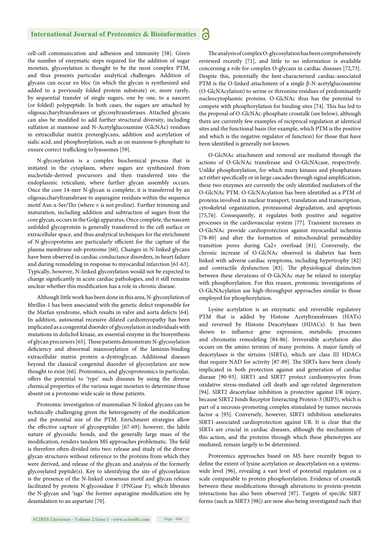cell-cell communication and adhesion and immunity [58]. Given the number of enzymatic steps required for the addition of sugar moieties, glycosylation is thought to be the most complex PTM, and thus presents particular analytical challenges. Addition of glycans can occur en bloc (in which the glycan is synthesized and added to a previously folded protein substrate) or, more rarely, by sequential transfer of single sugars, one by one, to a nascent (or folded) polypeptide. In both cases, the sugars are attached by oligosaccharyltransferases or glycosyltransferases. Attached glycans can also be modified to add further structural diversity, including sulfation at mannose and N-Acetylglucosamine (GlcNAc) residues in extracellular matrix proteoglycans, addition and acetylation of sialic acid, and phosphorylation, such as on mannose 6-phosphate to ensure correct trafficking to lysosomes [59].

N-glycosylation is a complex biochemical process that is initiated in the cytoplasm, where sugars are synthesized from nucleotide-derived precursors and then transferred into the endoplasmic reticulum, where further glycan assembly occurs. Once the core 14-mer N-glycan is complete, it is transferred by an oligosaccharyltransferase to asparagine residues within the sequence motif Asn-x-Ser/Thr (where  $\times$  is not proline). Further trimming and maturation, including addition and subtraction of sugars from the core glycan, occurs in the Golgi apparatus. Once complete, the nascent unfolded glycoprotein is generally transferred to the cell surface or extracellular space, and thus analytical techniques for the enrichment of N-glycoproteins are particularly efficient for the capture of the plasma membrane sub-proteome [60]. Changes in N-linked glycans have been observed in cardiac conductance disorders, in heart failure and during remodeling in response to myocardial infarction [61-63]. Typically, however, N-linked glycosylation would not be expected to change significantly in acute cardiac pathologies, and it still remains unclear whether this modification has a role in chronic disease.

Although little work has been done in this area, N-glycosylation of fibrillin-1 has been associated with the genetic defect responsible for the Marfan syndrome, which results in valve and aorta defects [64]. In addition, autosomal recessive dilated cardiomyopathy has been implicated as a congenital disorder of glycosylation in individuals with mutations in dolichol kinase, an essential enzyme in the biosynthesis of glycan precursors [65]. These patients demonstrate N-glycosylation deficiency and abnormal mannosylation of the laminin-binding extracellular matrix protein α-dystroglycan. Additional diseases beyond the classical congenital disorder of glycosylation are now thought to exist [66]. Proteomics, and glycoproteomics in particular, offers the potential to 'type' such diseases by using the diverse chemical properties of the various sugar moieties to determine those absent on a proteome-wide scale in these patients.

Proteomic investigation of mammalian N-linked glycans can be technically challenging given the heterogeneity of the modification and the potential size of the PTM. Enrichment strategies allow the effective capture of glycopeptides [67-69]; however, the labile nature of glycosidic bonds, and the generally large mass of the modification, renders tandem MS approaches problematic. The field is therefore often divided into two: release and study of the diverse glycan structures without reference to the proteins from which they were derived, and release of the glycan and analysis of the formerly glycosylated peptide(s). Key to identifying the site of glycosylation is the presence of the N-linked consensus motif and glycan release facilitated by protein N-glycosidase F (PNGase F), which liberates the N-glycan and 'tags' the former asparagine modification site by deamidation to an aspartate [70].

The analysis of complex O-glycosylation has been comprehensively reviewed recently [71], and little to no information is available concerning a role for complex O-glycans in cardiac diseases [72,73]. Despite this, potentially the best-characterized cardiac-associated PTM is the O-linked attachment of a single β-N-acetylglucosamine (O-GlcNAcylation) to serine or threonine residues of predominantly nucleocytoplasmic proteins. O-GlcNAc thus has the potential to compete with phosphorylation for binding sites [74]. This has led to the proposal of O-GlcNAc-phosphate crosstalk (see below), although there are currently few examples of reciprocal regulation at identical sites and the functional basis (for example, which PTM is the positive and which is the negative regulator of function) for those that have been identified is generally not known.

O-GlcNAc attachment and removal are mediated through the actions of O-GlcNAc transferase and O-GlcNAcase, respectively. Unlike phosphorylation, for which many kinases and phosphatases act either specifically or in large cascades through signal amplification, these two enzymes are currently the only identified mediators of the O-GlcNAc PTM. O-GlcNAcylation has been identified as a PTM of proteins involved in nuclear transport, translation and transcription, cytoskeletal organization, proteasomal degradation, and apoptosis [75,76]. Consequently, it regulates both positive and negative processes in the cardiovascular system [77]. Transient increases in O-GlcNAc provide cardioprotection against myocardial ischemia [78-80] and alter the formation of mitochondrial permeability transition pores during Ca2+ overload [81]. Conversely, the chronic increase of O-GlcNAc observed in diabetes has been linked with adverse cardiac symptoms, including hypertrophy [82] and contractile dysfunction [83]. The physiological distinction between these elevations of O-GlcNAc may be related to interplay with phosphorylation. For this reason, proteomic investigations of O-GlcNAcylation use high-throughput approaches similar to those employed for phosphorylation.

Lysine acetylation is an enzymatic and reversible regulatory PTM that is added by Histone Acetyltransferases (HATs) and reversed by Histone Deacetylases (HDACs). It has been shown to influence gene expression, metabolic processes and chromatin remodeling [84-86]. Irreversible acetylation also occurs on the amino termini of many proteins. A major family of deacetylases is the sirtuins (SIRTs), which are class III HDACs that require NAD for activity [87-89]. The SIRTs have been closely implicated in both protection against and generation of cardiac disease [90-93]. SIRT1 and SIRT7 protect cardiomyocytes from oxidative stress-mediated cell death and age-related degeneration [94]. SIRT2 deacetylase inhibition is protective against I/R injury, because SIRT2 binds Receptor Interacting Protein-3 (RIP3), which is part of a necrosis-promoting complex stimulated by tumor necrosis factor α [95]. Conversely, however, SIRT1 inhibition ameliorates SIRT1-associated cardioprotection against I/R. It is clear that the SIRTs are crucial in cardiac diseases, although the mechanism of this action, and the proteins through which these phenotypes are mediated, remain largely to be determined.

Proteomics approaches based on MS have recently begun to define the extent of lysine acetylation or deacetylation on a systemswide level [96], revealing a vast level of potential regulation on a scale comparable to protein phosphorylation. Evidence of crosstalk between these modifications through alterations to protein-protein interactions has also been observed [97]. Targets of specific SIRT forms (such as SIRT3 [98]) are now also being investigated such that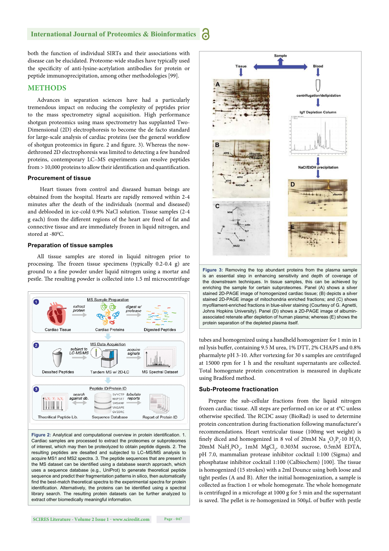both the function of individual SIRTs and their associations with disease can be elucidated. Proteome-wide studies have typically used the specificity of anti-lysine-acetylation antibodies for protein or peptide immunoprecipitation, among other methodologies [99].

#### **METHODS**

Advances in separation sciences have had a particularly tremendous impact on reducing the complexity of peptides prior to the mass spectrometry signal acquisition. High performance shotgun proteomics using mass spectrometry has supplanted Two-Dimensional (2D) electrophoresis to become the de facto standard for large-scale analysis of cardiac proteins (see the general workflow of shotgun proteomics in figure. 2 and figure. 3). Whereas the nowdethroned 2D electrophoresis was limited to detecting a few hundred proteins, contemporary LC–MS experiments can resolve peptides  $from > 10,000$  proteins to allow their identification and quantification.

#### **Procurement of tissue**

Heart tissues from control and diseased human beings are obtained from the hospital. Hearts are rapidly removed within 2-4 minutes after the death of the individuals (normal and diseased) and deblooded in ice-cold 0.9% NaCl solution. Tissue samples (2-4 g each) from the different regions of the heart are freed of fat and connective tissue and are immediately frozen in liquid nitrogen, and stored at -80°C.

#### **Preparation of tissue samples**

All tissue samples are stored in liquid nitrogen prior to processing. The frozen tissue specimens (typically  $0.2-0.4$  g) are ground to a fine powder under liquid nitrogen using a mortar and pestle. The resulting powder is collected into 1.5 ml microcentrifuge



Figure 2: Analytical and computational overview in protein identification. 1. Cardiac samples are processed to extract the proteomes or subproteomes of interest, which may then be proteolyzed to obtain peptide digests. 2. The resulting peptides are desalted and subjected to LC–MS/MS analysis to acquire MS1 and MS2 spectra. 3. The peptide sequences that are present in the MS dataset can be identified using a database search approach, which uses a sequence database (e.g., UniProt) to generate theoretical peptide sequence and predict their fragmentation patterns in silico, then automatically find the best-match theoretical spectra to the experimental spectra for protein identification. Alternatively, the proteins can be identified using a spectral library search. The resulting protein datasets can be further analyzed to extract other biomedically meaningful information.



**Figure 3:** Removing the top abundant proteins from the plasma sample is an essential step in enhancing sensitivity and depth of coverage of the downstream techniques. In tissue samples, this can be achieved by enriching the sample for certain subproteomes. Panel (A) shows a silver stained 2D-PAGE image of homogenized cardiac tissue; (B) depicts a silver stained 2D-PAGE image of mitochondria enriched fractions; and (C) shows myofilament-enriched fractions in blue-silver staining (Courtesy of G. Agnetti, Johns Hopkins University). Panel (D) shows a 2D-PAGE image of albuminassociated retenate after depletion of human plasma; whereas (E) shows the protein separation of the depleted plasma itself.

tubes and homogenized using a handheld homogenizer for 1 min in 1 ml lysis buffer, containing 9.5 M urea, 1% DTT, 2% CHAPS and 0.8% pharmalyte pH 3-10. After vortexing for 30 s samples are centrifuged at 15000 rpm for 1 h and the resultant supernatants are collected. Total homogenate protein concentration is measured in duplicate using Bradford method.

#### **Sub-Proteome fractionation**

Prepare the sub-cellular fractions from the liquid nitrogen frozen cardiac tissue. All steps are performed on ice or at 4°C unless otherwise specified. The RCDC assay (BioRad) is used to determine protein concentration during fractionation following manufacturer's recommendations. Heart ventricular tissue (100mg wet weight) is finely diced and homogenized in 8 vol of 20mM Na  $_4O_7P_2$  10 H<sub>2</sub>O,  $20 \text{mM}$  NaH<sub>2</sub>PO<sub>4</sub>, 1mM MgCl<sub>2</sub>, 0.303M sucrose, 0.5mM EDTA, pH 7.0, mammalian protease inhibitor cocktail 1:100 (Sigma) and phosphatase inhibitor cocktail 1:100 (Calbiochem) [100]. The tissue is homogenized (15 strokes) with a 2ml Dounce using both loose and tight pestles (A and B). After the initial homogenization, a sample is collected as fraction 1 or whole homogenate. The whole homogenate is centrifuged in a microfuge at 1000 g for 5 min and the supernatant is saved. The pellet is re-homogenized in 500µL of buffer with pestle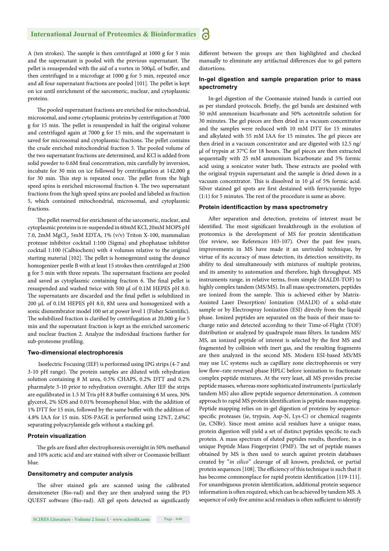A (ten strokes). The sample is then centrifuged at 1000 g for 5 min and the supernatant is pooled with the previous supernatant. The pellet is resuspended with the aid of a vortex in 500μL of buffer, and then centrifuged in a microfuge at 1000 g for 5 min, repeated once and all four supernatant fractions are pooled [101]. The pellet is kept on ice until enrichment of the sarcomeric, nuclear, and cytoplasmic proteins.

The pooled supernatant fractions are enriched for mitochondrial, microsomal, and some cytoplasmic proteins by centrifugation at 7000 g for 15 min. The pellet is resuspended in half the original volume and centrifuged again at 7000 g for 15 min, and the supernatant is saved for microsomal and cytoplasmic fractions. The pellet contains the crude enriched mitochondrial fraction 3. The pooled volume of the two supernatant fractions are determined, and KCl is added from solid powder to 0.6M final concentration, mix carefully by inversion, incubate for 30 min on ice followed by centrifugation at 142,000 g for 30 min. This step is repeated once. The pellet from the high speed spins is enriched microsomal fraction 4. The two supernatant fractions from the high speed spins are pooled and labeled as fraction 5, which contained mitochondrial, microsomal, and cytoplasmic fractions.

The pellet reserved for enrichment of the sarcomeric, nuclear, and cytoplasmic proteins is re-suspended in 60mM KCl, 20mM MOPS pH 7.0, 2mM MgCl<sub>2</sub>, 5mM EDTA, 1% (v/v) Triton X-100, mammalian protease inhibitor cocktail 1:100 (Sigma) and phophatase inhibitor cocktail 1:100 (Calbiochem) with 4 volumes relative to the original starting material [102]. The pellet is homogenized using the dounce homogenizer pestle B with at least 15 strokes then centrifuged at 2500 g for 5 min with three repeats. The supernatant fractions are pooled and saved as cytoplasmic containing fraction 6. The final pellet is resuspended and washed twice with 500 μl of 0.1M HEPES pH 8.0. The supernatants are discarded and the final pellet is solubilized in 200 μL of 0.1M HEPES pH 8.0, 8M urea and homogenized with a sonic dismembrator model 100 set at power level 1 (Fisher Scientific). The solubilized fraction is clarified by centrifugation at 20,000 g for 5 min and the supernatant fraction is kept as the enriched sarcomeric and nuclear fraction 2. Analyze the individual fractions further for sub-proteome profiling.

#### **Two-dimensional electrophoresis**

Isoelectric Focusing (IEF) is performed using IPG strips (4-7 and 3-10 pH range). The protein samples are diluted with rehydration solution containing 8 M urea, 0.5% CHAPS, 0.2% DTT and 0.2% pharmalyte 3-10 prior to rehydration overnight. After IEF the strips are equilibrated in 1.5 M Tris pH 8.8 buffer containing 6 M urea, 30% glycerol, 2% SDS and 0.01% bromophenol blue, with the addition of 1% DTT for 15 min, followed by the same buffer with the addition of 4.8% IAA for 15 min. SDS-PAGE is performed using 12%T, 2.6%C separating polyacrylamide gels without a stacking gel.

#### **Protein visualization**

The gels are fixed after electrophoresis overnight in 50% methanol and 10% acetic acid and are stained with silver or Coomassie brilliant blue.

#### **Densitometry and computer analysis**

The silver stained gels are scanned using the calibrated densitometer (Bio-rad) and they are then analyzed using the PD QUEST software (Bio-rad). All gel spots detected as significantly

different between the groups are then highlighted and checked manually to eliminate any artifactual differences due to gel pattern distortions.

#### **In-gel digestion and sample preparation prior to mass spectrometry**

In-gel digestion of the Coomassie stained bands is carried out as per standard protocols. Briefly, the gel bands are destained with 50 mM ammonium bicarbonate and 50% acetonitrile solution for 30 minutes. The gel pieces are then dried in a vacuum concentrator and the samples were reduced with 10 mM DTT for 15 minutes and alkylated with 55 mM IAA for 15 minutes. The gel pieces are then dried in a vacuum concentrator and are digested with 12.5 ng/ μl of trypsin at  $37^{\circ}$ C for 18 hours. The gel pieces are then extracted sequentially with 25 mM ammonium bicarbonate and 5% formic acid using a sonicator water bath. These extracts are pooled with the original trypsin supernatant and the sample is dried down in a vacuum concentrator. This is dissolved in 10 μl of 5% formic acid. Silver stained gel spots are first destained with ferricyanide: hypo  $(1:1)$  for 5 minutes. The rest of the procedure is same as above.

#### **Protein identificaction by mass spectrometry**

After separation and detection, proteins of interest must be identified. The most significant breakthrough in the evolution of proteomics is the development of MS for protein identification (for review, see References 103-107). Over the past few years, improvements in MS have made it an unrivaled technique, by virtue of its accuracy of mass detection, its detection sensitivity, its ability to deal simultaneously with mixtures of multiple proteins, and its amenity to automation and therefore, high throughput. MS instruments range, in relative terms, from simple (MALDI-TOF) to highly complex tandem (MS/MS). In all mass spectrometers, peptides are ionized from the sample. This is achieved either by Matrix-Assisted Laser Desorption/ Ionization (MALDI) of a solid-state sample or by Electrospray Ionization (ESI) directly from the liquid phase. Ionized peptides are separated on the basis of their mass-tocharge ratio and detected according to their Time-of-Flight (TOF) distribution or analyzed by quadrupole mass filters. In tandem MS/ MS, an ionized peptide of interest is selected by the first MS and fragmented by collision with inert gas, and the resulting fragments are then analyzed in the second MS. Modern ESI-based MS/MS may use LC systems such as capillary zone electrophoresis or very low flow-rate reversed-phase HPLC before ionization to fractionate complex peptide mixtures. At the very least, all MS provides precise peptide masses, whereas more sophisticated instruments (particularly tandem MS) also allow peptide sequence determination. A common approach to rapid MS protein identification is peptide mass mapping. Peptide mapping relies on in-gel digestion of proteins by sequencespecific proteases (ie, trypsin, Asp-N, Lys-C) or chemical reagents (ie, CNBr). Since most amino acid residues have a unique mass, protein digestion will yield a set of distinct peptides specific to each protein. A mass spectrum of eluted peptides results, therefore, in a unique Peptide Mass Fingerprint (PMF). The set of peptide masses obtained by MS is then used to search against protein databases created by "*in silico*" cleavage of all known, predicted, or partial protein sequences [108]. The efficiency of this technique is such that it has become commonplace for rapid protein identification [119-111]. For unambiguous protein identification, additional protein sequence information is often required, which can be achieved by tandem MS. A sequence of only five amino acid residues is often sufficient to identify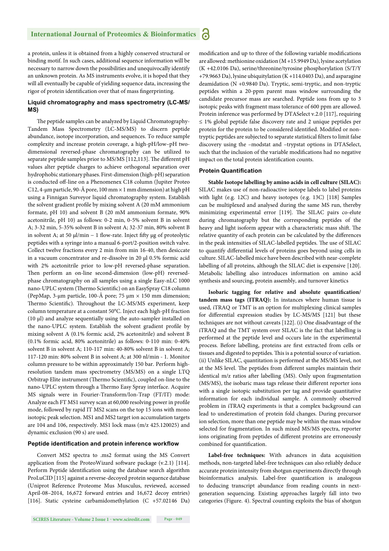a protein, unless it is obtained from a highly conserved structural or binding motif. In such cases, additional sequence information will be necessary to narrow down the possibilities and unequivocally identify an unknown protein. As MS instruments evolve, it is hoped that they will all eventually be capable of yielding sequence data, increasing the rigor of protein identification over that of mass fingerprinting.

#### **Liquid chromatography and mass spectrometry (LC-MS/ MS)**

The peptide samples can be analyzed by Liquid Chromatography-Tandem Mass Spectrometry (LC-MS/MS) to discern peptide abundance, isotope incorporation, and sequences. To reduce sample complexity and increase protein coverage, a high-pH/low–pH twodimensional reversed-phase chromatography can be utilized to separate peptide samples prior to MS/MS [112,113]. The different pH values alter peptide charges to achieve orthogonal separation over hydrophobic stationary phases. First-dimension (high-pH) separation is conducted off -line on a Phenomenex C18 column (Jupiter Proteo C12, 4-μm particle, 90-Å pore, 100 mm × 1 mm dimension) at high pH using a Finnigan Surveyor liquid chromatography system. Establish the solvent gradient profile by mixing solvent A (20 mM ammonium formate, pH 10) and solvent B (20 mM ammonium formate, 90% acetonitrile, pH 10) as follows: 0-2 min, 0-5% solvent B in solvent A; 3-32 min, 5-35% solvent B in solvent A; 32-37 min, 80% solvent B in solvent A; at 50  $\mu$ l/min – 1 flow-rate. Inject fifty  $\mu$ g of proteolytic peptides with a syringe into a manual 6-port/2-position switch valve. Collect twelve fractions every 2 min from min 16-40, then desiccate in a vacuum concentrator and re-dissolve in 20 μl 0.5% formic acid with 2% acetonitrile prior to low-pH reversed-phase separation. Then perform an on-line second-dimension (low-pH) reversedphase chromatography on all samples using a single Easy-nLC 1000 nano-UPLC system (Thermo Scientific) on an EasySpray C18 column (PepMap, 3-μm particle, 100-Å pore; 75 μm × 150 mm dimension; Thermo Scientific). Throughout the LC-MS/MS experiment, keep column temperature at a constant 50°C. Inject each high-pH fraction (10 μl) and analyze sequentially using the auto-sampler installed on the nano-UPLC system. Establish the solvent gradient profile by mixing solvent A (0.1% formic acid, 2% acetonitrile) and solvent B (0.1% formic acid, 80% acetonitrile) as follows: 0-110 min: 0-40% solvent B in solvent A; 110-117 min: 40-80% solvent B in solvent A; 117-120 min: 80% solvent B in solvent A; at 300 nl/min - 1. Monitor column pressure to be within approximately 150 bar. Perform highresolution tandem mass spectrometry (MS/MS) on a single LTQ Orbitrap Elite instrument (Thermo Scientific), coupled on-line to the nano-UPLC system through a Thermo Easy Spray interface. Acquire MS signals were in Fourier-Transform/Ion-Trap (FT/IT) mode: Analyze each FT MS1 survey scan at 60,000 resolving power in profile mode, followed by rapid IT MS2 scans on the top 15 ions with mono isotopic peak selection. MS1 and MS2 target ion accumulation targets are 104 and 106, respectively. MS1 lock mass (m/z 425.120025) and dynamic exclusion (90 s) are used.

#### Peptide identification and protein inference workflow

Convert MS2 spectra to .ms2 format using the MS Convert application from the ProteoWizard software package  $(v.2.1)$  [114]. Perform Peptide identification using the database search algorithm ProLuCID [115] against a reverse-decoyed protein sequence database (Uniprot Reference Proteome Mus Musculus, reviewed, accessed April-08–2014, 16,672 forward entries and 16,672 decoy entries) [116]. Static cysteine carbamidomethylation (C +57.02146 Da) modification and up to three of the following variable modifications are allowed: methionine oxidation (M +15.9949 Da), lysine acetylation (K +42.0106 Da), serine/threonine/tyrosine phosphorylation (S/T/Y +79.9663 Da), lysine ubiquitylation (K +114.0403 Da), and asparagine deamidation (N +0.9840 Da). Tryptic, semi-tryptic, and non-tryptic peptides within a 20-ppm parent mass window surrounding the candidate precursor mass are searched. Peptide ions from up to 3 isotopic peaks with fragment mass tolerance of 600 ppm are allowed. Protein inference was performed by DTASelect v.2.0 [117], requiring ≤ 1% global peptide false discovery rate and 2 unique peptides per protein for the protein to be considered identified. Modified or nontryptic peptides are subjected to separate statistical filters to limit false discovery using the –modstat and –trypstat options in DTASelect, such that the inclusion of the variable modifications had no negative impact on the total protein identification counts.

#### **Protein Quantification**

**Stable Isotope labelling by amino acids in cell culture (SILAC):**  SILAC makes use of non-radioactive isotope labels to label proteins with light (e.g. 12C) and heavy isotopes (e.g. 13C) [118] Samples can be multiplexed and analysed during the same MS run, thereby minimizing experimental error [119]. The SILAC pairs co-elute during chromatography but the corresponding peptides of the heavy and light isoform appear with a characteristic mass shift. The relative quantity of each protein can be calculated by the differences in the peak intensities of SILAC-labelled peptides. The use of SILAC to quantify differential levels of proteins goes beyond using cells in culture. SILAC-labelled mice have been described with near-complete labelling of all proteins, although the SILAC diet is expensive [120]. Metabolic labelling also introduces information on amino acid synthesis and sourcing, protein assembly, and turnover kinetics

Isobaric tagging for relative and absolute quantification/ **tandem mass tags (ITRAQ):** In instances where human tissue is used, iTRAQ or TMT is an option for multiplexing clinical samples for differential expression studies by LC-MS/MS [121] but these techniques are not without caveats [122]. (i) One disadvantage of the iTRAQ and the TMT system over SILAC is the fact that labelling is performed at the peptide level and occurs late in the experimental process. Before labelling, proteins are first extracted from cells or tissues and digested to peptides. This is a potential source of variation. (ii) Unlike SILAC, quantitation is performed at the MS/MS level, not at the MS level. The peptides from different samples maintain their identical m/z ratios after labelling (MS). Only upon fragmentation (MS/MS), the isobaric mass tags release their different reporter ions with a single isotopic substitution per tag and provide quantitative information for each individual sample. A commonly observed problem in iTRAQ experiments is that a complex background can lead to underestimation of protein fold changes. During precursor ion selection, more than one peptide may be within the mass window selected for fragmentation. In such mixed MS/MS spectra, reporter ions originating from peptides of different proteins are erroneously combined for quantification.

**Label-free techniques:** With advances in data acquisition methods, non-targeted label-free techniques can also reliably deduce accurate protein intensity from shotgun experiments directly through bioinformatics analysis. Label-free quantification is analogous to deducing transcript abundance from reading counts in nextgeneration sequencing. Existing approaches largely fall into two categories (Figure. 4). Spectral counting exploits the bias of shotgun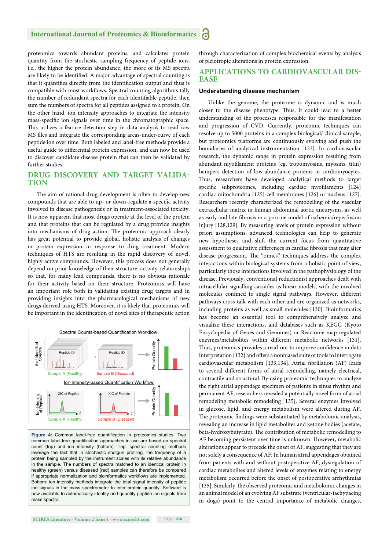proteomics towards abundant proteins, and calculates protein quantity from the stochastic sampling frequency of peptide ions, i.e., the higher the protein abundance, the more of its MS spectra are likely to be identified. A major advantage of spectral counting is that it quantifies directly from the identification output and thus is compatible with most workflows. Spectral counting algorithms tally the number of redundant spectra for each identifiable peptide, then sum the numbers of spectra for all peptides assigned to a protein. On the other hand, ion intensity approaches to integrate the intensity mass-specific ion signals over time in the chromatographic space. This utilizes a feature detection step in data analysis to read raw MS files and integrate the corresponding areas-under-curve of each peptide ion over time. Both labeled and label-free methods provide a useful guide to differential protein expression, and can now be used to discover candidate disease protein that can then be validated by further studies.

#### **DRUG DISCOVERY AND TARGET VALIDA-TION**

The aim of rational drug development is often to develop new compounds that are able to up- or down-regulate a specific activity involved in disease pathogenesis or in treatment-associated toxicity. It is now apparent that most drugs operate at the level of the protein and that proteins that can be regulated by a drug provide insights into mechanisms of drug action. The proteomic approach clearly has great potential to provide global, holistic analysis of changes in protein expression in response to drug treatment. Modern techniques of HTS are resulting in the rapid discovery of novel, highly active compounds. However, this process does not generally depend on prior knowledge of their structure–activity relationships so that, for many lead compounds, there is no obvious rationale for their activity based on their structure. Proteomics will have an important role both in validating existing drug targets and in providing insights into the pharmacological mechanisms of new drugs derived using HTS. Moreover, it is likely that proteomics will be important in the identification of novel sites of therapeutic action



Figure 4: Common label-free quantification in proteomics studies. Two common label-free quantification approaches in use are based on spectral count (top) and ion intensity (bottom). Top: spectral counting methods leverage the fact that in stochastic shotgun profiling, the frequency of a protein being sampled by the instrument scales with its relative abundance in the sample. The numbers of spectra matched to an identical protein in healthy (green) versus diseased (red) samples can therefore be compared if appropriate normalization and bioinformatics workflows are implemented. Bottom: ion intensity methods integrate the total signal intensity of peptide ion signals in the mass spectrometer to infer protein quantity. Software is now available to automatically identify and quantify peptide ion signals from mass spectra.

through characterization of complex biochemical events by analysis of pleiotropic alterations in protein expression.

#### **APPLICATIONS TO CARDIOVASCULAR DIS-EASE**

#### **Understanding disease mechanism**

Unlike the genome, the proteome is dynamic and is much closer to the disease phenotype. Thus, it could lead to a better understanding of the processes responsible for the manifestation and progression of CVD. Currently, proteomic techniques can resolve up to 5000 proteins in a complex biological/ clinical sample, but proteomics platforms are continuously evolving and push the boundaries of analytical instrumentation [123]. In cardiovascular research, the dynamic range in protein expression resulting from abundant myofilament proteins (eg, tropomyosins, myosins, titin) hampers detection of low-abundance proteins in cardiomyocytes. Thus, researchers have developed analytical methods to target specific subproteomes, including cardiac myofilaments [124] cardiac mitochondria [125] cell membranes [126] or nucleus [127]. Researchers recently characterized the remodelling of the vascular extracellular matrix in human abdominal aortic aneurysms, as well as early and late fibrosis in a porcine model of ischemia/reperfusion injury [128,129]. By measuring levels of protein expression without priori assumptions, advanced technologies can help to generate new hypotheses and shift the current focus from quantitative assessment to qualitative differences in cardiac fibrosis that may alter disease progression. The "omics" techniques address the complex interactions within biological systems from a holistic point of view, particularly those interactions involved in the pathophysiology of the disease. Previously, conventional reductionist approaches dealt with intracellular signalling cascades as linear models, with the involved molecules confined to single signal pathways. However, different pathways cross-talk with each other and are organized as networks, including proteins as well as small molecules [130]. Bioinformatics has become an essential tool to comprehensively analyze and visualize these interactions, and databases such as KEGG (Kyoto Encyclopedia of Genes and Genomes) or Reactome map regulated enzymes/metabolites within different metabolic networks [131]. Thus, proteomics provides a read-out to improve confidence in data interpretation [132] and offers a nonbiased suite of tools to interrogate cardiovascular metabolism [133,134]. Atrial fibrillation (AF) leads to several different forms of atrial remodelling, namely electrical, contractile and structural. By using proteomic techniques to analyze the right atrial appendage specimen of patients in sinus rhythm and permanent AF, researchers revealed a potentially novel form of atrial remodeling metabolic remodeling [135]. Several enzymes involved in glucose, lipid, and energy metabolism were altered during AF. The proteomic findings were substantiated by metabolomic analysis, revealing an increase in lipid metabolites and ketone bodies (acetate, beta-hydroxybutyrate). The contribution of metabolic remodelling to AF becoming persistent over time is unknown. However, metabolic alterations appear to precede the onset of AF, suggesting that they are not solely a consequence of AF. In human atrial appendages obtained from patients with and without postoperative AF, dysregulation of cardiac metabolites and altered levels of enzymes relating to energy metabolism occurred before the onset of postoperative arrhythmias [135]. Similarly, the observed proteomic and metabolomic changes in an animal model of an evolving AF substrate (ventricular-tachypacing in dogs) point to the central importance of metabolic changes,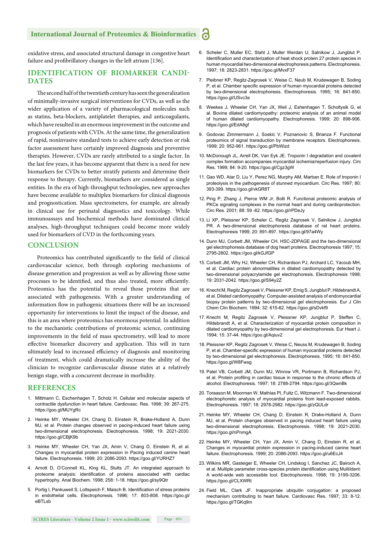oxidative stress, and associated structural damage in congestive heart failure and profibrillatory changes in the left atrium [136].

#### **IDENTIFICATION OF BIOMARKER CANDI-DATES**

The second half of the twentieth century has seen the generalization of minimally-invasive surgical interventions for CVDs, as well as the wider application of a variety of pharmacological molecules such as statins, beta-blockers, antiplatelet therapies, and anticoagulants, which have resulted in an enormous improvement in the outcome and prognosis of patients with CVDs. At the same time, the generalization of rapid, noninvasive standard tests to achieve early detection or risk factor assessment have certainly improved diagnosis and preventive therapies. However, CVDs are rarely attributed to a single factor. In the last few years, it has become apparent that there is a need for new biomarkers for CVDs to better stratify patients and determine their response to therapy. Currently, biomarkers are considered as single entities. In the era of high-throughput technologies, new approaches have become available to multiplex biomarkers for clinical diagnosis and prognostication. Mass spectrometers, for example, are already in clinical use for perinatal diagnostics and toxicology. While immunoassays and biochemical methods have dominated clinical analyses, high-throughput techniques could become more widely used for biomarkers of CVD in the forthcoming years.

#### **CONCLUSION**

Proteomics has contributed significantly to the field of clinical cardiovascular science, both through exploring mechanisms of disease generation and progression as well as by allowing those same processes to be identified, and thus also treated, more efficiently. Proteomics has the potential to reveal those proteins that are associated with pathogenesis. With a greater understanding of information flow in pathogenic situations there will be an increased opportunity for interventions to limit the impact of the disease, and this is an area where proteomics has enormous potential. In addition to the mechanistic contributions of proteomic science, continuing improvements in the field of mass spectrometry, will lead to more effective biomarker discovery and application. This will in turn ultimately lead to increased efficiency of diagnosis and monitoring of treatment, which could dramatically increase the ability of the clinician to recognize cardiovascular disease states at a relatively benign stage, with a concurrent decrease in morbidity.

#### **REFERENCES**

- 1. Mittmann C, Eschenhagen T, Scholz H. Cellular and molecular aspects of contractile dysfunction in heart failure. Cardiovasc. Res. 1998; 39: 267-275. https://goo.gl/MUYgRc
- 2. Heinke MY, Wheeler CH, Chang D, Einstein R, Brake-Holland A, Dunn MJ, et al. Protein changes observed in pacing-induced heart failure using two-dimensional electrophoresis. Electrophoresis. 1998; 19: 2021-2030. https://goo.gl/CBjK9b
- 3. Heinke MY, Wheeler CH, Yan JX, Amin V, Chang D, Einstein R, et al. Changes in myocardial protein expression in Pacing induced canine heart failure. Electrophoresis. 1999; 20: 2086-2093. https://goo.gl/YURHZ7
- 4. Arnott D, O'Connell KL, King KL, Stults JT. An integrated approach to proteome analysis: identification of proteins associated with cardiac hypertrophy. Anal Biochem. 1998; 258: 1-18. https://goo.gl/sy9Qtr
- 5. Portig I, Pankuweit S, Lottspeich F, Maisch B. Identification of stress proteins in endothelial cells. Electrophoresis. 1996; 17: 803-808. https://goo.gl/ eBTLsb
- 6. Scheler C, Muller EC, Stahl J, Muller Werdan U, Salnikow J, Jungblut P. Identification and characterization of heat shock protein 27 protein species in human myocardial two-dimensional electrophoresis patterns. Electrophoresis. 1997; 18: 2823-2831. https://goo.gl/MvxF37
- 7. Pleibner KP, Regitz-Zagrosek V, Weise C, Neub M, Krudewagen B, Soding P, et al. Chamber specific expression of human myocardial proteins detected by two-dimensional electrophoresis. Electrophoresis. 1995; 16: 841-850. https://goo.gl/USvc3e
- 8. Weekes J, Wheeler CH, Yan JX, Weil J, Eshenhagen T, Scholtysik G, et al. Bovine dilated cardiomyopathy: proteomic analysis of an animal model of human dilated cardiomyopathy. Electrophoresis. 1999; 20: 898-906. https://goo.gl/EdA8gf
- 9. Godovac Zimmermann J, Soskic V, Poznanovic S, Brianza F. Functional proteomics of signal transduction by membrane receptors. Electrophoresis. 1999; 20: 952-961. https://goo.gl/PbWizd
- 10. McDonough JL, Arrell DK, Van Eyk JE. Troponin I degradation and covalent complex formation accompanies myocardial ischemia/reperfusion injury. Circ Res. 1999; 84: 9-20. https://goo.gl/Cgz3gW
- 11. Gao WD, Atar D, Liu Y, Perez NG, Murphy AM, Marban E. Role of troponin I proteolysis in the pathogenesis of stunned myocardium. Circ Res. 1997; 80: 393-399. https://goo.gl/vkGR8T
- 12. Ping P, Zhang J, Pierce WM Jr, Bolli R. Functional proteomic analysis of PKCe signaling complexes in the normal heart and during cardioprotection. Circ Res. 2001; 88: 59 -62. https://goo.gl/rPDeJy
- 13. Li XP, Pleissner KP, Scheler C, Regitz Zagrosek V, Salnikow J, Jungblut PR. A two-dimensional electrophoresis database of rat heart proteins. Electrophoresis 1999; 20: 891-897. https://goo.gl/97a4Wy
- 14. Dunn MJ, Corbett JM, Wheeler CH, HSC-2DPAGE and the two-dimensional gel electrophoresis database of dog heart proteins. Electrophoresis 1997; 15: 2795-2802. https://goo.gl/kGJfGP
- 15. Corbett JM, Why HJ, Wheeler CH, Richardson PJ, Archard LC, Yacoub MH, et al. Cardiac protein abnormalities in dilated cardiomyopathy detected by two-dimensional polyacrylamide gel electrophoresis. Electrophoresis 1998; 19: 2031-2042. https://goo.gl/S94y2Z
- 16. Knecht M, Regitz Zagrosek V, Pleissner KP, Emig S, Jungblut P, Hildebrandt A, et al. Dilated cardiomyopathy: Computer-assisted analysis of endomyocardial biopsy protein patterns by two-dimensional gel electrophoresis. Eur J Clin Chem Clin Biochem. 1994; 32: 615-62. https://goo.gl/sDvkf9
- 17. Knecht M, Regitz Zagrosek V, Pleissner KP, Jungblut P, Steffen C, Hildebrandt A, et al. Characterization of myocardial protein composition in dilated cardiomyopathy by two-dimensional gel electrophoresis. Eur Heart J. 1994; 15: 37-44. https://goo.gl/Aqiuv2
- 18. Pleissner KP, Regitz Zagrosek V, Weise C, Neuss M, Krudewagen B, Soding P, et al. Chamber-specific expression of human myocardial proteins detected by two-dimensional gel electrophoresis. Electrophoresis. 1995; 16: 841-850. https://goo.gl/W8Fwsg
- 19. Patel VB, Corbett JM, Dunn MJ, Winrow VR, Portmann B, Richardson PJ, et al. Protein profiling in cardiac tissue in response to the chronic effects of alcohol. Electrophoresis. 1997; 18: 2788-2794. https://goo.gl/3QwnBk
- 20. Toraason M, Moorman W, Mathias PI, Fultz C, Witzmann F. Two-dimensional electrophoretic analysis of myocardial proteins from lead-exposed rabbits. Electrophoresis. 1997; 18: 2978-2982. https://goo.gl/zQULdr
- 21. Heinke MY, Wheeler CH, Chang D, Einstein R, Drake-Holland A, Dunn MJ, et al. Protein changes observed in pacing induced heart failure using two-dimensional electrophoresis. Electrophoresis. 1998; 19: 2021-2030. https://goo.gl/nPnmgA
- 22. Heinke MY, Wheeler CH, Yan JX, Amin V, Chang D, Einstein R, et al. Changes in myocardial protein expression in pacing-induced canine heart failure. Electrophoresis. 1999; 20: 2086-2093. https://goo.gl/u6EcJ4
- 23. Wilkins MR, Gasteiger E, Wheeler CH, Lindskog I, Sanchez JC, Bairoch A, et al. Multiple parameter cross-species protein identification using Multildent: A world-wide web accessible tool. Electrophoresis. 1998; 19: 3199-3206. https://goo.gl/CLXWRt
- 24. Field ML, Clark JF. Inappropriate ubiquitin conjugation: a proposed mechanism contributing to heart failure. Cardiovasc Res. 1997; 33: 8-12. https://goo.gl/TGKq9m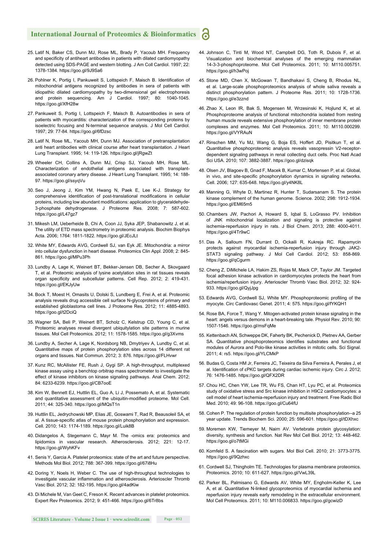- 25. Latif N, Baker CS, Dunn MJ, Rose ML, Brady P, Yacoub MH. Frequency and specificity of antiheart antibodies in patients with dilated cardiomyopathy detected using SDS-PAGE and western blotting. J Am Coll Cardiol. 1997; 22: 1378-1384. https://goo.gl/9J9Sa6
- 26. Pohlner K, Portig I, Pankuweit S, Lottspeich F, Maisch B. Identification of mitochondrial antigens recognized by antibodies in sera of patients with idiopathic dilated cardiomyopathy by two-dimensional gel electrophoresis and protein sequencing. Am J Cardiol. 1997; 80: 1040-1045. https://goo.gl/XfH28w
- 27. Pankuweit S, Portig I, Lottspeich F, Maisch B. Autoantibodies in sera of patients with myocarditis: characterization of the corresponding proteins by isoelectric focusing and N-terminal sequence analysis. J Mol Cell Cardiol. 1997; 29: 77-84. https://goo.gl/6fDzsc
- 28. Latif N, Rose ML, Yacoub MH, Dunn MJ. Association of pretransplantation anti heart antibodies with clinical course after heart transplantation. J Heart Lung Transplant. 1995; 14: 119-126. https://goo.gl/jRgwZt
- 29. Wheeler CH, Collins A, Dunn MJ, Crisp SJ, Yacoub MH, Rose ML. Characterization of endothelial antigens associated with transplantassociated coronary artery disease. J Heart Lung Transplant. 1995; 14: 188- 97. https://goo.gl/ssyqVu
- 30. Seo J, Jeong J, Kim YM, Hwang N, Paek E, Lee K-J. Strategy for comprehensive identification of post-translational modifications in cellular proteins, including low abundant modifications: application to glyceraldehyde-3-phosphate dehydrogenase. J Proteome Res. 2008; 7: 587-602. https://goo.gl/L47gz7
- 31. Mikesh LM, Ueberheide B, Chi A, Coon JJ, Syka JEP, Shabanowitz J, et al. The utility of ETD mass spectrometry in proteomic analysis. Biochim Biophys Acta. 2006; 1764: 1811-1822. https://goo.gl/JEcJLt
- 32. White MY, Edwards AVG, Cordwell SJ, van Eyk JE. Mitochondria: a mirror into cellular dysfunction in heart disease. Proteomics Clin Appl. 2008; 2: 845- 861. https://goo.gl/MPu3Ph
- 33. Lundby A, Lage K, Weinert BT, Bekker-Jensen DB, Secher A, Skovgaard T, et al. Proteomic analysis of lysine acetylation sites in rat tissues reveals organ specificity and subcellular patterns. Cell Rep. 2012; 2: 419-431. https://goo.gl/EKJyUw
- 34. Bock T, Moest H, Omasits U, Dolski S, Lundberg E, Frei A, et al. Proteomic analysis reveals drug accessible cell surface N-glycoproteins of primary and established glioblastoma cell lines. J Proteome Res. 2012; 11: 4885-4893. https://goo.gl/t2DciQ
- 35. Wagner SA, Beli P, Weinert BT, Scholz C, Kelstrup CD, Young C, et al. Proteomic analyses reveal divergent ubiquitylation site patterns in murine tissues. Mol Cell Proteomics. 2012; 11: 1578-1585. https://goo.gl/g3Xvms
- 36. Lundby A, Secher A, Lage K, Nordsborg NB, Dmytriyev A, Lundby C, et al. Quantitative maps of protein phosphorylation sites across 14 different rat organs and tissues. Nat Commun. 2012; 3: 876. https://goo.gl/FLHvwr
- 37. Kunz RC, McAllister FE, Rush J, Gygi SP. A high-throughput, multiplexed kinase assay using a benchtop orbitrap mass spectrometer to investigate the effect of kinase inhibitors on kinase signaling pathways. Anal Chem. 2012; 84: 6233-6239. https://goo.gl/CB7ooE
- 38. Kim W, Bennett EJ, Huttlin EL, Guo A, Li J, Possemato A, et al. Systematic and quantitative assessment of the ubiquitin-modified proteome. Mol Cell. 2011; 44: 325-340. https://goo.gl/MQsT1n
- 39. Huttlin EL, Jedrychowski MP, Elias JE, Goswami T, Rad R, Beausoleil SA, et al. A tissue-specific atlas of mouse protein phosphorylation and expression. Cell. 2010; 143: 1174-1189. https://goo.gl/Luik8B
- 40. Didangelos A, Stegemann C, Mayr M. The -omics era: proteomics and lipidomics in vascular research. Atherosclerosis. 2012; 221: 12-17. https://goo.gl/WyhKFv
- 41. Senis Y, Garcia A. Platelet proteomics: state of the art and future perspective. Methods Mol Biol. 2012; 788: 367-399. https://goo.gl/67i8Hu
- 42. Doring Y, Noels H, Weber C. The use of high-throughput technologies to investigate vascular inflammation and atherosclerosis. Arterioscler Thromb Vasc Biol. 2012; 32: 182-195. https://goo.gl/4adKiw
- 43. Di Michele M, Van Geet C, Freson K. Recent advances in platelet proteomics. Expert Rev Proteomics. 2012; 9: 451-466. https://goo.gl/6Tr8bs
- 44. Johnson C, Tinti M, Wood NT, Campbell DG, Toth R, Dubois F, et al. Visualization and biochemical analyses of the emerging mammalian 14-3-3-phosphoproteome. Mol Cell Proteomics. 2011; 10: M110.005751. https://goo.gl/h3wPoj
- 45. Stone MD, Chen X, McGowan T, Bandhakavi S, Cheng B, Rhodus NL, et al. Large-scale phosphoproteomics analysis of whole saliva reveals a distinct phosphorylation pattern. J Proteome Res. 2011; 10: 1728-1736. https://goo.gl/e3zznd
- 46. Zhao X, Leon IR, Bak S, Mogensen M, Wrzesinski K, Hojlund K, et al. Phosphoproteome analysis of functional mitochondria isolated from resting human muscle reveals extensive phosphorylation of inner membrane protein complexes and enzymes. Mol Cell Proteomics. 2011; 10: M110.000299. https://goo.gl/VYRAuN
- 47. Rinschen MM, Yu MJ, Wang G, Boja ES, Hoffert JD, Pisitkun T, et al. Quantitative phosphoproteomic analysis reveals vasopressin V2-receptordependent signaling pathways in renal collecting duct cells. Proc Natl Acad Sci USA. 2010; 107: 3882-3887. https://goo.gl/dzisqk
- 48. Olsen JV, Blagoev B, Gnad F, Macek B, Kumar C, Mortensen P, et al. Global, in vivo, and site-specific phosphorylation dynamics in signaling networks. Cell. 2006; 127: 635-648. https://goo.gl/y4NK8L
- 49. Manning G, Whyte D, Martinez R, Hunter T, Sudarsanam S. The protein kinase complement of the human genome. Science. 2002; 298: 1912-1934. https://goo.gl/EM65m5
- 50. Chambers JW, Pachori A, Howard S, Iqbal S, LoGrasso PV. Inhibition of JNK mitochondrial localization and signaling is protective against ischemia-reperfusion injury in rats. J Biol Chem. 2013; 288: 4000-4011. https://goo.gl/4Tr9wC
- 51. Das A, Salloum FN, Durrant D, Ockaili R, Kukreja RC. Rapamycin protects against myocardial ischemia-reperfusion injury through JAK2- STAT3 signaling pathway. J Mol Cell Cardiol. 2012; 53: 858-869. https://goo.gl/qCgurm
- 52. Cheng Z, DiMichele LA, Hakim ZS, Rojas M, Mack CP, Taylor JM. Targeted focal adhesion kinase activation in cardiomyocytes protects the heart from ischemia/reperfusion injury. Arterioscler Thromb Vasc Biol. 2012; 32: 924- 933. https://goo.gl/QyjJpg
- 53. Edwards AVG, Cordwell SJ, White MY. Phosphoproteomic profiling of the myocyte. Circ Cardiovasc Genet. 2011; 4: 575. https://goo.gl/fYKQH1
- 54. Rose BA, Force T, Wang Y. Mitogen-activated protein kinase signaling in the heart: angels versus demons in a heart-breaking tale. Physiol Rev. 2010; 90: 1507-1546. https://goo.gl/msFqMe
- 55. Kettenbach AN, Schweppe DK, Faherty BK, Pechenick D, Pletnev AA, Gerber SA. Quantitative phosphoproteomics identifies substrates and functional modules of Aurora and Polo-like kinase activities in mitotic cells. Sci Signal. 2011; 4: rs5. https://goo.gl/YLCMkP
- 56. Budas G, Costa HM Jr, Ferreira JC, Teixeira da Silva Ferreira A, Perales J, et al. Identification of εPKC targets during cardiac ischemic injury. Circ J. 2012; 76: 1476-1485. https://goo.gl/QFX2DR
- 57. Chou HC, Chen YW, Lee TR, Wu FS, Chan HT, Lyu PC, et al. Proteomics study of oxidative stress and Src kinase inhibition in H9C2 cardiomyocytes: a cell model of heart ischemia-reperfusion injury and treatment. Free Radic Biol Med. 2010; 49: 96-108. https://goo.gl/Cu64fU
- 58. Cohen P. The regulation of protein function by multisite phosphorylation--a 25 year update. Trends Biochem Sci. 2000; 25: 596-601. https://goo.gl/tDXhxc
- 59. Moremen KW, Tiemeyer M, Nairn AV. Vertebrate protein glycosylation: diversity, synthesis and function. Nat Rev Mol Cell Biol. 2012; 13: 448-462. https://goo.gl/o7tMGi
- 60. Kornfeld S. A fascination with sugars. Mol Biol Cell. 2010; 21: 3773-3775. https://goo.gl/9Qzhxc
- 61. Cordwell SJ, Thingholm TE. Technologies for plasma membrane proteomics. Proteomics. 2010; 10: 611-627. https://goo.gl/VwL39L
- 62. Parker BL, Palmisano G, Edwards AV, White MY, Engholm-Keller K, Lee A, et al. Quantitative N-linked glycoproteomics of myocardial ischemia and reperfusion injury reveals early remodeling in the extracellular environment. Mol Cell Proteomics. 2011; 10: M110.006833. https://goo.gl/gcwizD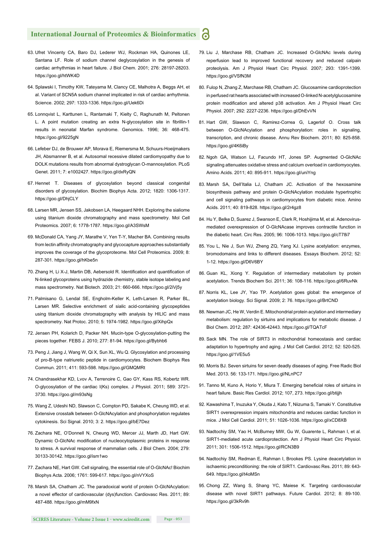- 63. Ufret Vincenty CA, Baro DJ, Lederer WJ, Rockman HA, Quinones LE, Santana LF. Role of sodium channel deglycosylation in the genesis of cardiac arrhythmias in heart failure. J Biol Chem. 2001; 276: 28197-28203. https://goo.gl/htWK4D
- 64. Splawski I, Timothy KW, Tateyama M, Clancy CE, Malhotra A, Beggs AH, et al. Variant of SCN5A sodium channel implicated in risk of cardiac arrhythmia. Science. 2002; 297: 1333-1336. https://goo.gl/Uek6Di
- 65. Lonnqvist L, Karttunen L, Rantamaki T, Kielty C, Raghunath M, Peltonen L. A point mutation creating an extra N-glycosylation site in fibrillin-1 results in neonatal Marfan syndrome. Genomics. 1996; 36: 468-475. https://goo.gl/9225gN
- 66. Lefeber DJ, de Brouwer AP, Morava E, Riemersma M, Schuurs-Hoeijmakers JH, Absmanner B, et al. Autosomal recessive dilated cardiomyopathy due to DOLK mutations results from abnormal dystroglycan O-mannosylation. PLoS Genet. 2011; 7: e1002427. https://goo.gl/dxRyQN
- 67. Hennet T. Diseases of glycosylation beyond classical congenital disorders of glycosylation. Biochim Biophys Acta. 2012; 1820: 1306-1317. https://goo.gl/DhjCLY
- 68. Larsen MR, Jensen SS, Jakobsen LA, Heegaard NHH. Exploring the sialiome using titanium dioxide chromatography and mass spectrometry. Mol Cell Proteomics. 2007; 6: 1778-1787. https://goo.gl/A3SWsM
- 69. McDonald CA, Yang JY, Marathe V, Yen T-Y, Macher BA. Combining results from lectin affinity chromatography and glycocapture approaches substantially improves the coverage of the glycoproteome. Mol Cell Proteomics. 2009; 8: 287-301. https://goo.gl/hKbe5n
- 70. Zhang H, Li X-J, Martin DB, Aebersold R. Identification and quantification of N-linked glycoproteins using hydrazide chemistry, stable isotope labeling and mass spectrometry. Nat Biotech. 2003; 21: 660-666. https://goo.gl/2iVj5y
- 71. Palmisano G, Lendal SE, Engholm-Keller K, Leth-Larsen R, Parker BL, Larsen MR. Selective enrichment of sialic acid-containing glycopeptides using titanium dioxide chromatography with analysis by HILIC and mass spectrometry. Nat Protoc. 2010; 5: 1974-1982. https://goo.gl/XihpQx
- 72. Jensen PH, Kolarich D, Packer NH. Mucin-type O-glycosylation-putting the pieces together. FEBS J. 2010; 277: 81-94. https://goo.gl/Bybhb6
- 73. Peng J, Jiang J, Wang W, Qi X, Sun XL, Wu Q. Glycosylation and processing of pro-B-type natriuretic peptide in cardiomyocytes. Biochem Biophys Res Commun. 2011; 411: 593-598. https://goo.gl/GMQMRt
- 74. Chandrasekhar KD, Lvov A, Terrenoire C, Gao GY, Kass RS, Kobertz WR. O-glycosylation of the cardiac I(Ks) complex. J Physiol. 2011; 589: 3721- 3730. https://goo.gl/m93sNg
- 75. Wang Z, Udeshi ND, Slawson C, Compton PD, Sakabe K, Cheung WD, et al. Extensive crosstalk between O-GlcNAcylation and phosphorylation regulates cytokinesis. Sci Signal. 2010; 3: 2. https://goo.gl/bE7Dez
- 76. Zachara NE, O'Donnell N, Cheung WD, Mercer JJ, Marth JD, Hart GW. Dynamic O-GlcNAc modification of nucleocytoplasmic proteins in response to stress. A survival response of mammalian cells. J Biol Chem. 2004; 279: 30133-30142. https://goo.gl/ism1wo
- 77. Zachara NE, Hart GW. Cell signaling, the essential role of O-GlcNAc! Biochim Biophys Acta. 2006; 1761: 599-617. https://goo.gl/nVYXoS
- 78. Marsh SA, Chatham JC. The paradoxical world of protein O-GlcNAcylation: a novel effector of cardiovascular (dys)function. Cardiovasc Res. 2011; 89: 487-488. https://goo.gl/mM9fxN
- 79. Liu J, Marchase RB, Chatham JC. Increased O-GlcNAc levels during reperfusion lead to improved functional recovery and reduced calpain proteolysis. Am J Physiol Heart Circ Physiol. 2007; 293: 1391-1399. https://goo.gl/VSfN3M
- 80. Fulop N, Zhang Z, Marchase RB, Chatham JC. Glucosamine cardioprotection in perfused rat hearts associated with increased O-linked N-acetylglucosamine protein modification and altered p38 activation. Am J Physiol Heart Circ Physiol. 2007; 292: 2227-2236. https://goo.gl/DhEvVN
- 81. Hart GW, Slawson C, Ramirez-Correa G, Lagerlof O. Cross talk between O-GlcNAcylation and phosphorylation: roles in signaling, transcription, and chronic disease. Annu Rev Biochem. 2011; 80: 825-858. https://goo.gl/4K6iBy
- 82. Ngoh GA, Watson LJ, Facundo HT, Jones SP. Augmented O-GlcNAc signaling attenuates oxidative stress and calcium overload in cardiomyocytes. Amino Acids. 2011; 40: 895-911. https://goo.gl/uniYng
- 83. Marsh SA, Dell'Italia LJ, Chatham JC. Activation of the hexosamine biosynthesis pathway and protein O-GlcNAcylation modulate hypertrophic and cell signaling pathways in cardiomyocytes from diabetic mice. Amino Acids. 2011; 40: 819-828. https://goo.gl/2r4gz8
- 84. Hu Y, Belke D, Suarez J, Swanson E, Clark R, Hoshijima M, et al. Adenovirusmediated overexpression of O-GlcNAcase improves contractile function in the diabetic heart. Circ Res. 2005; 96: 1006-1013. https://goo.gl/cT78i7
- 85. You L, Nie J, Sun WJ, Zheng ZQ, Yang XJ. Lysine acetylation: enzymes, bromodomains and links to different diseases. Essays Biochem. 2012; 52: 1-12. https://goo.gl/D6V6BY
- 86. Guan KL, Xiong Y. Regulation of intermediary metabolism by protein acetylation. Trends Biochem Sci. 2011; 36: 108-116. https://goo.gl/6RuvNk
- 87. Norris KL, Lee JY, Yao TP. Acetylation goes global: the emergence of acetylation biology. Sci Signal. 2009; 2: 76. https://goo.gl/BrtCND
- 88. Newman JC, He W, Verdin E. Mitochondrial protein acylation and intermediary metabolism: regulation by sirtuins and implications for metabolic disease. J Biol Chem. 2012; 287: 42436-42443. https://goo.gl/TQATcF
- 89. Sack MN. The role of SIRT3 in mitochondrial homeostasis and cardiac adaptation to hypertrophy and aging. J Mol Cell Cardiol. 2012; 52: 520-525. https://goo.gl/1VE5u5
- 90. Morris BJ. Seven sirtuins for seven deadly diseases of aging. Free Radic Biol Med. 2013. 56: 133-171. https://goo.gl/NLnPC7
- 91. Tanno M, Kuno A, Horio Y, Miura T. Emerging beneficial roles of sirtuins in heart failure. Basic Res Cardiol. 2012; 107, 273. https://goo.gl/btijjh
- 92. Kawashima T, Inuzuka Y, Okuda J, Kato T, Niizuma S, Tamaki Y. Constitutive SIRT1 overexpression impairs mitochondria and reduces cardiac function in mice. J Mol Cell Cardiol. 2011; 51: 1026-1036. https://goo.gl/xCD8XB
- 93. Nadtochiy SM, Yao H, McBurney MW, Gu W, Guarente L, Rahman I, et al. SIRT1-mediated acute cardioprotection. Am J Physiol Heart Circ Physiol. 2011; 301: 1506-1512. https://goo.gl/RCN3B9
- 94. Nadtochiy SM, Redman E, Rahman I, Brookes PS. Lysine deacetylation in ischaemic preconditioning: the role of SIRT1. Cardiovasc Res. 2011; 89: 643- 649. https://goo.gl/t4oMSn
- 95. Chong ZZ, Wang S, Shang YC, Maiese K. Targeting cardiovascular disease with novel SIRT1 pathways. Future Cardiol. 2012; 8: 89-100. https://goo.gl/3kRv9h